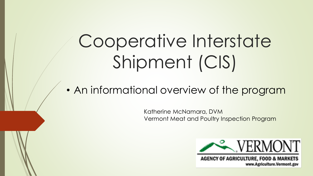# Cooperative Interstate Shipment (CIS)

• An informational overview of the program

Katherine McNamara, DVM Vermont Meat and Poultry Inspection Program



**AGENCY OF AGRICULTURE, FOOD & MARKETS** www.Agriculture.Vermont.gov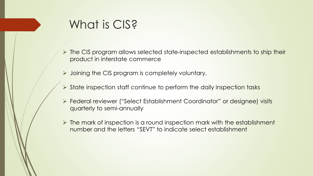## What is CIS?

- ➢ The CIS program allows selected state-inspected establishments to ship their product in interstate commerce
- $\triangleright$  Joining the CIS program is completely voluntary.
- ➢ State inspection staff continue to perform the daily inspection tasks
- ➢ Federal reviewer ("Select Establishment Coordinator" or designee) visits quarterly to semi-annually
- ➢ The mark of inspection is a round inspection mark with the establishment number and the letters "SEVT" to indicate select establishment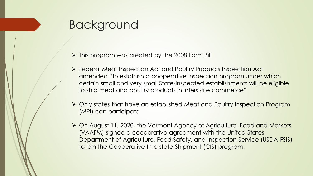## Background

- $\triangleright$  This program was created by the 2008 Farm Bill
- ➢ Federal Meat Inspection Act and Poultry Products Inspection Act amended "to establish a cooperative inspection program under which certain small and very small State-inspected establishments will be eligible to ship meat and poultry products in interstate commerce"
- ➢ Only states that have an established Meat and Poultry Inspection Program (MPI) can participate
- ➢ On August 11, 2020, the Vermont Agency of Agriculture, Food and Markets (VAAFM) signed a cooperative agreement with the United States Department of Agriculture, Food Safety, and Inspection Service (USDA-FSIS) to join the Cooperative Interstate Shipment (CIS) program.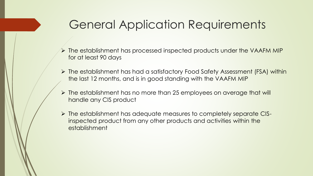### General Application Requirements

- ➢ The establishment has processed inspected products under the VAAFM MIP for at least 90 days
- ➢ The establishment has had a satisfactory Food Safety Assessment (FSA) within the last 12 months, and is in good standing with the VAAFM MIP
- ➢ The establishment has no more than 25 employees on average that will handle any CIS product
- ➢ The establishment has adequate measures to completely separate CISinspected product from any other products and activities within the establishment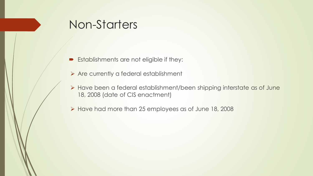### Non-Starters

- **Establishments are not eligible if they:**
- ➢ Are currently a federal establishment
- ➢ Have been a federal establishment/been shipping interstate as of June 18, 2008 (date of CIS enactment)
- ➢ Have had more than 25 employees as of June 18, 2008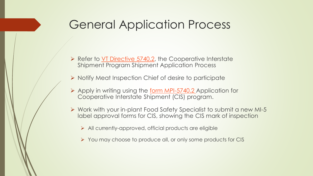### General Application Process

- ➢ Refer to [VT Directive 5740.2,](https://agriculture.vermont.gov/sites/agriculture/files/documents/Meat_Inspection/Directives/VT%20Directive%205740.2%20Cooperative%20Interstate%20Shipment%20%28CIS%29%20Program%20Establishment%20Application%20Process.pdf) the Cooperative Interstate Shipment Program Shipment Application Process
- ➢ Notify Meat Inspection Chief of desire to participate
- ➢ Apply in writing using the [form MPI-5740.2 A](https://agriculture.vermont.gov/sites/agriculture/files/documents/Meat_Inspection/Directives/MI-5740.2CISapp.pdf)pplication for Cooperative Interstate Shipment (CIS) program.
- ➢ Work with your in-plant Food Safety Specialist to submit a new MI-5 label approval forms for CIS, showing the CIS mark of inspection
	- ➢ All currently-approved, official products are eligible
	- ➢ You may choose to produce all, or only some products for CIS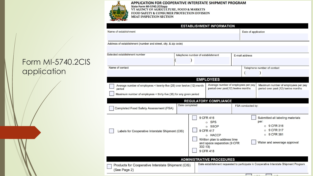

#### APPLICATION FOR COOPERATIVE INTERSTATE SHIPMENT PROGRAM **EXAMPLE INTENSIVE SINCE IN A STATE OF STATE SINCE AND STATE SINCE THE SINCE SINCE AND STATE SINCE SINCE AND STATE SINCE SINCE SINCE SINCE SINCE SINCE SINCE SINCE SINCE SINCE SINCE SINCE SINCE SINCE SINCE SINCE SINCE SINCE**

|                                                                                                                                                                                                  |                |                                   | Date of application                                                                                                              |                   |                                                                                                                    |
|--------------------------------------------------------------------------------------------------------------------------------------------------------------------------------------------------|----------------|-----------------------------------|----------------------------------------------------------------------------------------------------------------------------------|-------------------|--------------------------------------------------------------------------------------------------------------------|
| Address of establishment (number and street, city, & zip code)                                                                                                                                   |                |                                   |                                                                                                                                  |                   |                                                                                                                    |
| Selected establishment number                                                                                                                                                                    |                | telephone number of establishment |                                                                                                                                  | E-mail address    |                                                                                                                    |
| Name of contact                                                                                                                                                                                  |                |                                   |                                                                                                                                  |                   | Telephone number of contact                                                                                        |
|                                                                                                                                                                                                  |                |                                   | <b>EMPLOYEES</b>                                                                                                                 |                   |                                                                                                                    |
| Average number of employees < twenty-five (25) over twelve (12) month<br>period<br>Maximum number of employees < thirty-five (35) for any given period<br>Completed Food Safety Assessment (FSA) | Date completed |                                   | Average number of employees per pay<br>period over past(12) twelve months<br><b>REGULATORY COMPLIANCE</b>                        | FSA conducted by: | Maximum number of employees per pay<br>period over past (12) twelve months                                         |
|                                                                                                                                                                                                  |                |                                   |                                                                                                                                  |                   |                                                                                                                    |
| Labels for Cooperative Interstate Shipment (CIS)                                                                                                                                                 |                | 332.13)                           | 9 CFR 416<br>o SPS<br>o SSOP<br>9 CFR 417<br>o HACCP<br>Written plan to address time<br>and space separation (9 CFR<br>9 CFR 418 |                   | Submitted all labeling materials<br>per:<br>o 9 CFR 316<br>9 CFR 317<br>o 9 CFR 381<br>Water and sewerage approval |
|                                                                                                                                                                                                  |                |                                   |                                                                                                                                  |                   |                                                                                                                    |

#### Form MI-5740.2CIS application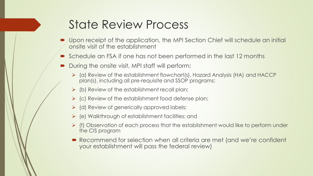### State Review Process

- Upon receipt of the application, the MPI Section Chief will schedule an initial onsite visit of the establishment
- Schedule an FSA if one has not been performed in the last 12 months
- During the onsite visit, MPI staff will perform:
	- ➢ (a) Review of the establishment flowchart(s), Hazard Analysis (HA) and HACCP plan(s), including all pre-requisite and SSOP programs;
	- $\triangleright$  (b) Review of the establishment recall plan;
	- $\triangleright$  (c) Review of the establishment food defense plan;
	- ➢ (d) Review of generically approved labels;
	- $\triangleright$  (e) Walkthrough of establishment facilities; and
	- ➢ (f) Observation of each process that the establishment would like to perform under the CIS program
	- Recommend for selection when all criteria are met (and we're confident your establishment will pass the federal review)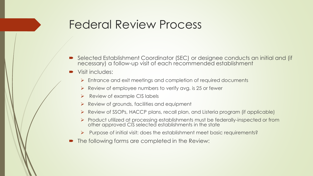### Federal Review Process

- Selected Establishment Coordinator (SEC) or designee conducts an initial and (if necessary) a follow-up visit of each recommended establishment
- Visit includes:
	- ➢ Entrance and exit meetings and completion of required documents
	- $\triangleright$  Review of employee numbers to verify avg. is 25 or fewer
	- $\triangleright$  Review of example CIS labels
	- $\triangleright$  Review of grounds, facilities and equipment
	- ➢ Review of SSOPs, HACCP plans, recall plan, and Listeria program (if applicable)
	- ➢ Product utilized at processing establishments must be federally-inspected or from other approved CIS selected establishments in the state
	- ➢ Purpose of initial visit: does the establishment meet basic requirements?
- The following forms are completed in the Review: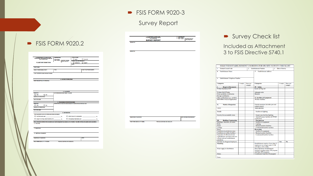#### **FSIS FORM 9020-3**

#### Survey Report

| U.S.DEPARTMENT OF AGRICULTURE<br>FOOD SAFETY AND INSPECTION SERVICE<br><b>FIELD OPERATIONS</b> | <b>DISTRIBUTION:</b><br><b>Print 3 continue</b>            | <b>TYPE OF PLANT</b><br>$\Box$ MEAT<br><b>POULTRY</b>                                                                                            |
|------------------------------------------------------------------------------------------------|------------------------------------------------------------|--------------------------------------------------------------------------------------------------------------------------------------------------|
| <b>PLANT INFORMATION</b>                                                                       | Give 1 copy to: Plant/District Manager                     | <b>OPERATIONS ARE PRESENTLY:</b>                                                                                                                 |
|                                                                                                |                                                            | <b>NSPECTED</b><br><b>EXEMPT</b><br><b>STATE</b>                                                                                                 |
| <b>PLANT NAME</b>                                                                              |                                                            |                                                                                                                                                  |
| NAME OF RESPONSIBLE PARTY.                                                                     | TITLE                                                      | PLANT TELEPHONE NUMBER                                                                                                                           |
| PLANT ADDRESS (include directions if needed)                                                   |                                                            |                                                                                                                                                  |
|                                                                                                |                                                            |                                                                                                                                                  |
|                                                                                                | <b>A. NATURE OF OPERATIONS</b>                             |                                                                                                                                                  |
| BRIEF DESCRIPTION OF OPERATION                                                                 |                                                            |                                                                                                                                                  |
| <b>OBSERVED</b>                                                                                | <b>B. SLAUGHTER</b><br>LIST SPECIES AND GIVE YEARLY VOLUME |                                                                                                                                                  |
| <b>T</b> YES<br>Пмо                                                                            |                                                            |                                                                                                                                                  |
| <b>MONTHS OF OPERATIONS</b>                                                                    |                                                            |                                                                                                                                                  |
| DAYS PER WEEK                                                                                  | C. PROCESSING-FURTHER PROCESSING                           |                                                                                                                                                  |
| <b>OBSERVED</b>                                                                                |                                                            | OPERATIONS (List type and amount produced or number and class of birds per year)                                                                 |
| $\Box$ YES<br><b>L</b> NO<br>MONTHS OF OPERATIONS                                              |                                                            |                                                                                                                                                  |
| <b>DAYS PER WEEK</b>                                                                           |                                                            |                                                                                                                                                  |
|                                                                                                | <b>D. DISTRIBUTION</b>                                     |                                                                                                                                                  |
| Check appropriate box(es) and indicate approximate percentage(s)<br>CUSTOM (not for sale)      | - 95                                                       | DIRECT SALES TO CONSUMERS                                                                                                                        |
| SALES TO HOTELS, RESTAURANTS, ETC.                                                             | <b>Inches</b>                                              | WHOLESALE (Retail Market, etc.)                                                                                                                  |
|                                                                                                |                                                            | WALK THROUGH OBSERVATION (Complete only if plant management has declared on the "intention" form letter that they will operate under assumption) |
| <b>F FACILITIES</b>                                                                            |                                                            |                                                                                                                                                  |
| <b>F SANITATION</b>                                                                            |                                                            |                                                                                                                                                  |
|                                                                                                |                                                            |                                                                                                                                                  |

| U. S. DEPARTMENT OF AGRICULTURE<br>FOCO SAFETY AND INSPECTION SERVICE | DISTRIBUTION:<br>Print 3 copies<br>Give 1 copy to: Plant/District Manager<br>Frontline Supervisor<br>IIC<br>L |
|-----------------------------------------------------------------------|---------------------------------------------------------------------------------------------------------------|
| <b>SURVEY REPORT</b>                                                  |                                                                                                               |
|                                                                       |                                                                                                               |
|                                                                       |                                                                                                               |
|                                                                       |                                                                                                               |
|                                                                       |                                                                                                               |
|                                                                       |                                                                                                               |
|                                                                       |                                                                                                               |
|                                                                       |                                                                                                               |
|                                                                       |                                                                                                               |
|                                                                       |                                                                                                               |
|                                                                       |                                                                                                               |
|                                                                       |                                                                                                               |
|                                                                       |                                                                                                               |
|                                                                       |                                                                                                               |
|                                                                       |                                                                                                               |
|                                                                       |                                                                                                               |
|                                                                       |                                                                                                               |
|                                                                       |                                                                                                               |
|                                                                       |                                                                                                               |
|                                                                       |                                                                                                               |
|                                                                       |                                                                                                               |
|                                                                       |                                                                                                               |
|                                                                       |                                                                                                               |
|                                                                       |                                                                                                               |
|                                                                       |                                                                                                               |
|                                                                       |                                                                                                               |
|                                                                       |                                                                                                               |
|                                                                       |                                                                                                               |
|                                                                       |                                                                                                               |
|                                                                       |                                                                                                               |
|                                                                       |                                                                                                               |
|                                                                       |                                                                                                               |
|                                                                       |                                                                                                               |
|                                                                       |                                                                                                               |
|                                                                       |                                                                                                               |
|                                                                       |                                                                                                               |
|                                                                       |                                                                                                               |
|                                                                       |                                                                                                               |
|                                                                       |                                                                                                               |
|                                                                       | DATE INFORMATION RECEIVED                                                                                     |
|                                                                       |                                                                                                               |
| PREVIOUS EDITIONS ARE OBSOLETE                                        |                                                                                                               |
|                                                                       |                                                                                                               |
|                                                                       |                                                                                                               |
|                                                                       |                                                                                                               |
|                                                                       |                                                                                                               |
|                                                                       |                                                                                                               |
|                                                                       |                                                                                                               |
|                                                                       |                                                                                                               |
|                                                                       |                                                                                                               |
|                                                                       |                                                                                                               |
|                                                                       |                                                                                                               |
|                                                                       |                                                                                                               |
|                                                                       |                                                                                                               |
|                                                                       |                                                                                                               |
|                                                                       |                                                                                                               |

#### Survey Check list Included as Attachment 3 to FSIS Directive 5740.1

| SELECTED ESTABSLISHMENT COORDINATOR ON-SITE SURVEY CHECKLIST<br><b>Establishment Number</b><br>3.     | Date of Survey                                 |                    |  |  |
|-------------------------------------------------------------------------------------------------------|------------------------------------------------|--------------------|--|--|
|                                                                                                       |                                                |                    |  |  |
| <b>Establishment Address</b>                                                                          |                                                |                    |  |  |
|                                                                                                       | Comply                                         | Does not<br>comply |  |  |
|                                                                                                       |                                                |                    |  |  |
| Lock-out/Tag-out                                                                                      |                                                |                    |  |  |
| <b>Adequate exits</b>                                                                                 |                                                |                    |  |  |
|                                                                                                       |                                                |                    |  |  |
|                                                                                                       |                                                |                    |  |  |
| V. Facilities & Equipment                                                                             |                                                |                    |  |  |
| <b>Welfare facilities</b>                                                                             |                                                |                    |  |  |
| Outside premises (includes pest and<br>rodent control)                                                |                                                |                    |  |  |
|                                                                                                       |                                                |                    |  |  |
| Facilities & lighting                                                                                 |                                                |                    |  |  |
| <b>Suspect pan facilities/lighting</b>                                                                |                                                |                    |  |  |
| Animal humane facilities & DVMS                                                                       |                                                |                    |  |  |
| <b>Post-mortem</b>                                                                                    |                                                |                    |  |  |
| Facilities & equipment                                                                                |                                                |                    |  |  |
|                                                                                                       |                                                |                    |  |  |
| <b>Retained product facilities</b>                                                                    |                                                |                    |  |  |
| Condemned/Inedible facilities<br><b>Processing</b>                                                    |                                                |                    |  |  |
|                                                                                                       |                                                |                    |  |  |
| Facilities & equipment                                                                                |                                                |                    |  |  |
| <b>Retained product facilities</b>                                                                    |                                                |                    |  |  |
| <b>Condemned/Inedible facilities</b>                                                                  |                                                |                    |  |  |
|                                                                                                       | Yes                                            | No.                |  |  |
| Establishment employs fewer than 25<br>employees on average under 9 CFR<br>332.3(b) or 381.513(b)     |                                                |                    |  |  |
| <b>Dual Operations Establishment</b><br>(produces product under CIS program<br>and State MPI program) |                                                |                    |  |  |
|                                                                                                       |                                                |                    |  |  |
|                                                                                                       | Conditional Grant for CIS program <sup>3</sup> |                    |  |  |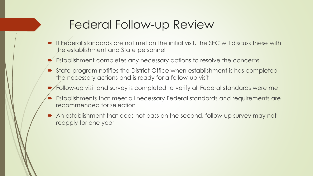### Federal Follow-up Review

- If Federal standards are not met on the initial visit, the SEC will discuss these with the establishment and State personnel
- Establishment completes any necessary actions to resolve the concerns
- State program notifies the District Office when establishment is has completed the necessary actions and is ready for a follow-up visit
- Follow-up visit and survey is completed to verify all Federal standards were met
- Establishments that meet all necessary Federal standards and requirements are recommended for selection
- An establishment that does not pass on the second, follow-up survey may not reapply for one year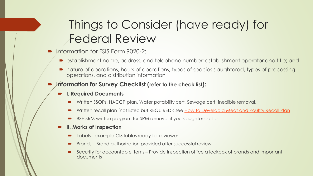# Things to Consider (have ready) for Federal Review

- Information for FSIS Form 9020-2:
	- establishment name, address, and telephone number; establishment operator and title; and
	- nature of operations, hours of operations, types of species slaughtered, types of processing operations, and distribution information
- **Information for Survey Checklist (refer to the check list):** 
	- **I. Required Documents**
		- Written SSOPs, HACCP plan, Water potability cert, Sewage cert, inedible removal,
		- Written recall plan (not listed but REQUIRED): see [How to Develop a Meat and Poultry Recall Plan](https://www.fsis.usda.gov/shared/PDF/RecallPlanBooklet_0513.pdf)
		- BSE-SRM written program for SRM removal if you slaughter cattle
	- **II. Marks of Inspection**
		- Labels example CIS lables ready for reviewer
		- Brands Brand authorization provided after successful review
		- Security for accountable items Provide Inspection office a lockbox of brands and important documents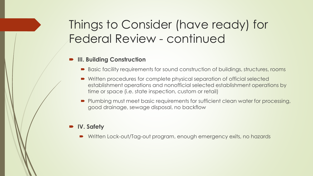# Things to Consider (have ready) for Federal Review - continued

#### **III. Building Construction**

- Basic facility requirements for sound construction of buildings, structures, rooms
- Written procedures for complete physical separation of official selected establishment operations and nonofficial selected establishment operations by time or space (i.e. state inspection, custom or retail)
- Plumbing must meet basic requirements for sufficient clean water for processing, good drainage, sewage disposal, no backflow

#### **IV. Safety**

Written Lock-out/Tag-out program, enough emergency exits, no hazards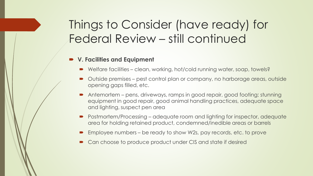# Things to Consider (have ready) for Federal Review – still continued

#### **V. Facilities and Equipment**

- Welfare facilities clean, working, hot/cold running water, soap, towels?
- Outside premises pest control plan or company, no harborage areas, outside opening gaps filled, etc.
- Antemortem pens, driveways, ramps in good repair, good footing; stunning equipment in good repair, good animal handling practices, adequate space and lighting, suspect pen area
- Postmortem/Processing adequate room and lighting for inspector, adequate area for holding retained product, condemned/inedible areas or barrels
- Employee numbers be ready to show W2s, pay records, etc. to prove
- Can choose to produce product under CIS and state if desired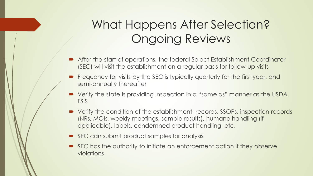# What Happens After Selection? Ongoing Reviews

- After the start of operations, the federal Select Establishment Coordinator (SEC) will visit the establishment on a regular basis for follow-up visits
- Frequency for visits by the SEC is typically quarterly for the first year, and semi-annually thereafter
- Verify the state is providing inspection in a "same as" manner as the USDA FSIS
- Verify the condition of the establishment, records, SSOPs, inspection records (NRs, MOIs, weekly meetings, sample results), humane handling (if applicable), labels, condemned product handling, etc.
- SEC can submit product samples for analysis
- SEC has the authority to initiate an enforcement action if they observe violations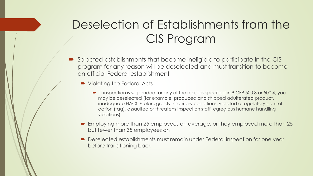# Deselection of Establishments from the CIS Program

- Selected establishments that become ineligible to participate in the CIS program for any reason will be deselected and must transition to become an official Federal establishment
	- Violating the Federal Acts
		- If inspection is suspended for any of the reasons specified in 9 CFR 500.3 or 500.4, you may be deselected (for example, produced and shipped adulterated product, inadequate HACCP plan, grossly insanitary conditions, violated a regulatory control action (tag), assaulted or threatens inspection staff, egregious humane handling violations)
	- Employing more than 25 employees on average, or they employed more than 25 but fewer than 35 employees on
	- Deselected establishments must remain under Federal inspection for one year before transitioning back